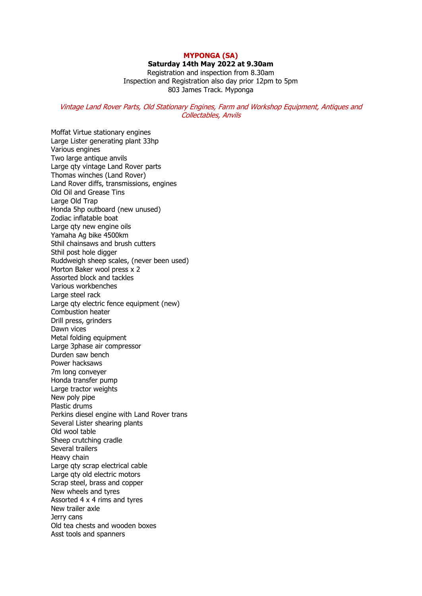## **MYPONGA (SA)**

**Saturday 14th May 2022 at 9.30am**

Registration and inspection from 8.30am Inspection and Registration also day prior 12pm to 5pm 803 James Track. Myponga

## Vintage Land Rover Parts, Old Stationary Engines, Farm and Workshop Equipment, Antiques and Collectables, Anvils

Moffat Virtue stationary engines Large Lister generating plant 33hp Various engines Two large antique anvils Large qty vintage Land Rover parts Thomas winches (Land Rover) Land Rover diffs, transmissions, engines Old Oil and Grease Tins Large Old Trap Honda 5hp outboard (new unused) Zodiac inflatable boat Large qty new engine oils Yamaha Ag bike 4500km Sthil chainsaws and brush cutters Sthil post hole digger Ruddweigh sheep scales, (never been used) Morton Baker wool press x 2 Assorted block and tackles Various workbenches Large steel rack Large qty electric fence equipment (new) Combustion heater Drill press, grinders Dawn vices Metal folding equipment Large 3phase air compressor Durden saw bench Power hacksaws 7m long conveyer Honda transfer pump Large tractor weights New poly pipe Plastic drums Perkins diesel engine with Land Rover trans Several Lister shearing plants Old wool table Sheep crutching cradle Several trailers Heavy chain Large qty scrap electrical cable Large qty old electric motors Scrap steel, brass and copper New wheels and tyres Assorted 4 x 4 rims and tyres New trailer axle Jerry cans Old tea chests and wooden boxes Asst tools and spanners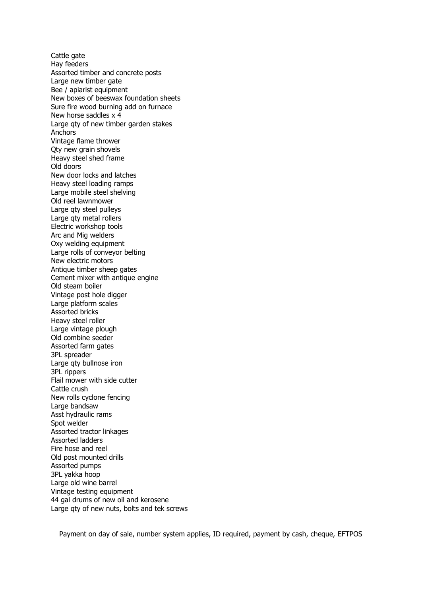Cattle gate Hay feeders Assorted timber and concrete posts Large new timber gate Bee / apiarist equipment New boxes of beeswax foundation sheets Sure fire wood burning add on furnace New horse saddles x 4 Large qty of new timber garden stakes Anchors Vintage flame thrower Qty new grain shovels Heavy steel shed frame Old doors New door locks and latches Heavy steel loading ramps Large mobile steel shelving Old reel lawnmower Large qty steel pulleys Large qty metal rollers Electric workshop tools Arc and Mig welders Oxy welding equipment Large rolls of conveyor belting New electric motors Antique timber sheep gates Cement mixer with antique engine Old steam boiler Vintage post hole digger Large platform scales Assorted bricks Heavy steel roller Large vintage plough Old combine seeder Assorted farm gates 3PL spreader Large qty bullnose iron 3PL rippers Flail mower with side cutter Cattle crush New rolls cyclone fencing Large bandsaw Asst hydraulic rams Spot welder Assorted tractor linkages Assorted ladders Fire hose and reel Old post mounted drills Assorted pumps 3PL yakka hoop Large old wine barrel Vintage testing equipment 44 gal drums of new oil and kerosene Large qty of new nuts, bolts and tek screws

Payment on day of sale, number system applies, ID required, payment by cash, cheque, EFTPOS